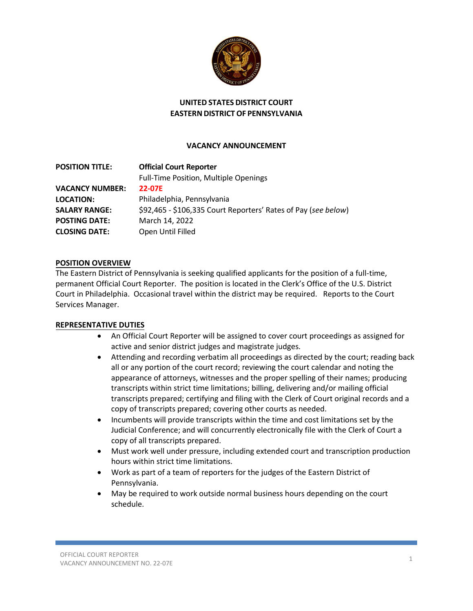

## **UNITED STATES DISTRICT COURT EASTERN DISTRICT OF PENNSYLVANIA**

### **VACANCY ANNOUNCEMENT**

| <b>POSITION TITLE:</b> | <b>Official Court Reporter</b>                                 |
|------------------------|----------------------------------------------------------------|
|                        | Full-Time Position, Multiple Openings                          |
| <b>VACANCY NUMBER:</b> | 22-07E                                                         |
| <b>LOCATION:</b>       | Philadelphia, Pennsylvania                                     |
| <b>SALARY RANGE:</b>   | \$92,465 - \$106,335 Court Reporters' Rates of Pay (see below) |
| <b>POSTING DATE:</b>   | March 14, 2022                                                 |
| <b>CLOSING DATE:</b>   | Open Until Filled                                              |

#### **POSITION OVERVIEW**

The Eastern District of Pennsylvania is seeking qualified applicants for the position of a full-time, permanent Official Court Reporter. The position is located in the Clerk's Office of the U.S. District Court in Philadelphia. Occasional travel within the district may be required. Reports to the Court Services Manager.

#### **REPRESENTATIVE DUTIES**

- An Official Court Reporter will be assigned to cover court proceedings as assigned for active and senior district judges and magistrate judges.
- Attending and recording verbatim all proceedings as directed by the court; reading back all or any portion of the court record; reviewing the court calendar and noting the appearance of attorneys, witnesses and the proper spelling of their names; producing transcripts within strict time limitations; billing, delivering and/or mailing official transcripts prepared; certifying and filing with the Clerk of Court original records and a copy of transcripts prepared; covering other courts as needed.
- Incumbents will provide transcripts within the time and cost limitations set by the Judicial Conference; and will concurrently electronically file with the Clerk of Court a copy of all transcripts prepared.
- Must work well under pressure, including extended court and transcription production hours within strict time limitations.
- Work as part of a team of reporters for the judges of the Eastern District of Pennsylvania.
- May be required to work outside normal business hours depending on the court schedule.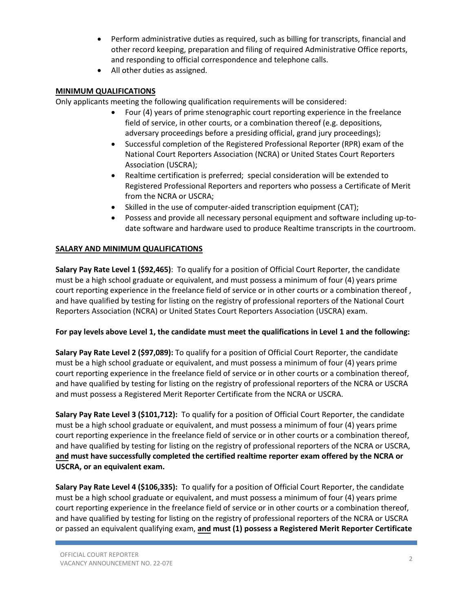- Perform administrative duties as required, such as billing for transcripts, financial and other record keeping, preparation and filing of required Administrative Office reports, and responding to official correspondence and telephone calls.
- All other duties as assigned.

## **MINIMUM QUALIFICATIONS**

Only applicants meeting the following qualification requirements will be considered:

- Four (4) years of prime stenographic court reporting experience in the freelance field of service, in other courts, or a combination thereof (e.g. depositions, adversary proceedings before a presiding official, grand jury proceedings);
- Successful completion of the Registered Professional Reporter (RPR) exam of the National Court Reporters Association (NCRA) or United States Court Reporters Association (USCRA);
- Realtime certification is preferred; special consideration will be extended to Registered Professional Reporters and reporters who possess a Certificate of Merit from the NCRA or USCRA;
- Skilled in the use of computer-aided transcription equipment (CAT);
- Possess and provide all necessary personal equipment and software including up-todate software and hardware used to produce Realtime transcripts in the courtroom.

# **SALARY AND MINIMUM QUALIFICATIONS**

**Salary Pay Rate Level 1 (\$92,465)**: To qualify for a position of Official Court Reporter, the candidate must be a high school graduate or equivalent, and must possess a minimum of four (4) years prime court reporting experience in the freelance field of service or in other courts or a combination thereof , and have qualified by testing for listing on the registry of professional reporters of the National Court Reporters Association (NCRA) or United States Court Reporters Association (USCRA) exam.

## **For pay levels above Level 1, the candidate must meet the qualifications in Level 1 and the following:**

**Salary Pay Rate Level 2 (\$97,089):** To qualify for a position of Official Court Reporter, the candidate must be a high school graduate or equivalent, and must possess a minimum of four (4) years prime court reporting experience in the freelance field of service or in other courts or a combination thereof, and have qualified by testing for listing on the registry of professional reporters of the NCRA or USCRA and must possess a Registered Merit Reporter Certificate from the NCRA or USCRA.

**Salary Pay Rate Level 3 (\$101,712):** To qualify for a position of Official Court Reporter, the candidate must be a high school graduate or equivalent, and must possess a minimum of four (4) years prime court reporting experience in the freelance field of service or in other courts or a combination thereof, and have qualified by testing for listing on the registry of professional reporters of the NCRA or USCRA, **and must have successfully completed the certified realtime reporter exam offered by the NCRA or USCRA, or an equivalent exam.**

**Salary Pay Rate Level 4 (\$106,335):** To qualify for a position of Official Court Reporter, the candidate must be a high school graduate or equivalent, and must possess a minimum of four (4) years prime court reporting experience in the freelance field of service or in other courts or a combination thereof, and have qualified by testing for listing on the registry of professional reporters of the NCRA or USCRA or passed an equivalent qualifying exam, **and must (1) possess a Registered Merit Reporter Certificate**